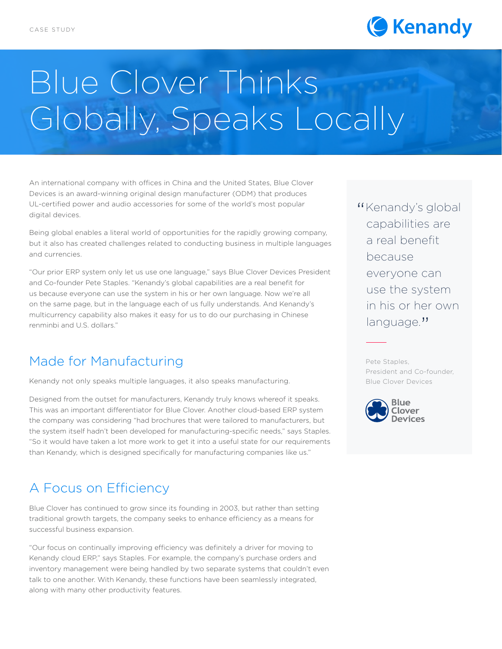

# Blue Clover Thinks Globally, Speaks Locally

An international company with offices in China and the United States, Blue Clover Devices is an award-winning original design manufacturer (ODM) that produces UL-certified power and audio accessories for some of the world's most popular digital devices.

Being global enables a literal world of opportunities for the rapidly growing company, but it also has created challenges related to conducting business in multiple languages and currencies.

"Our prior ERP system only let us use one language," says Blue Clover Devices President and Co-founder Pete Staples. "Kenandy's global capabilities are a real benefit for us because everyone can use the system in his or her own language. Now we're all on the same page, but in the language each of us fully understands. And Kenandy's multicurrency capability also makes it easy for us to do our purchasing in Chinese renminbi and U.S. dollars."

## Made for Manufacturing

Kenandy not only speaks multiple languages, it also speaks manufacturing.

Designed from the outset for manufacturers, Kenandy truly knows whereof it speaks. This was an important differentiator for Blue Clover. Another cloud-based ERP system the company was considering "had brochures that were tailored to manufacturers, but the system itself hadn't been developed for manufacturing-specific needs," says Staples. "So it would have taken a lot more work to get it into a useful state for our requirements than Kenandy, which is designed specifically for manufacturing companies like us."

## A Focus on Efficiency

Blue Clover has continued to grow since its founding in 2003, but rather than setting traditional growth targets, the company seeks to enhance efficiency as a means for successful business expansion.

"Our focus on continually improving efficiency was definitely a driver for moving to Kenandy cloud ERP," says Staples. For example, the company's purchase orders and inventory management were being handled by two separate systems that couldn't even talk to one another. With Kenandy, these functions have been seamlessly integrated, along with many other productivity features.

"Kenandy's global<br>capabilities are capabilities are a real benefit because everyone can use the system in his or her own language."

Pete Staples, President and Co-founder, Blue Clover Devices